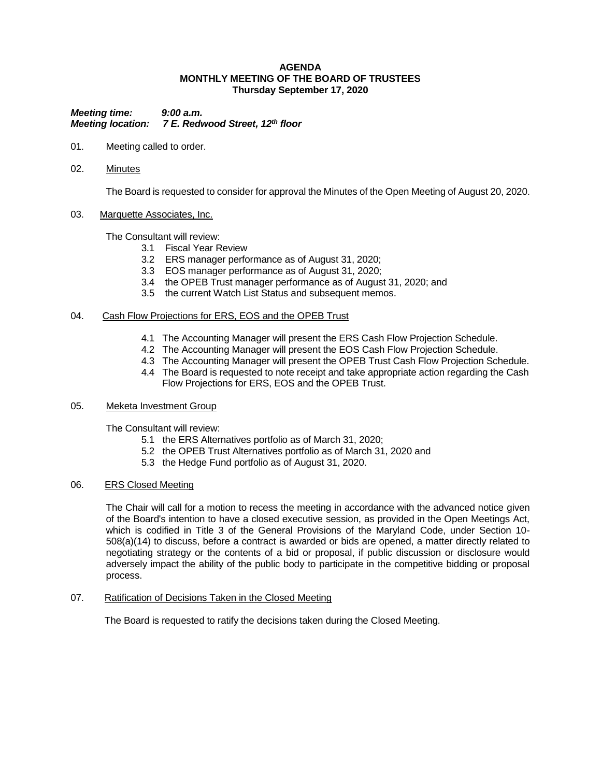## **AGENDA MONTHLY MEETING OF THE BOARD OF TRUSTEES Thursday September 17, 2020**

*Meeting time: 9:00 a.m. Meeting location: 7 E. Redwood Street, 12th floor*

- 01. Meeting called to order.
- 02. Minutes

The Board is requested to consider for approval the Minutes of the Open Meeting of August 20, 2020.

## 03. Marquette Associates, Inc.

The Consultant will review:

- 3.1 Fiscal Year Review
- 3.2 ERS manager performance as of August 31, 2020;
- 3.3 EOS manager performance as of August 31, 2020;
- 3.4 the OPEB Trust manager performance as of August 31, 2020; and
- 3.5 the current Watch List Status and subsequent memos.

## 04. Cash Flow Projections for ERS, EOS and the OPEB Trust

- 4.1 The Accounting Manager will present the ERS Cash Flow Projection Schedule.
- 4.2 The Accounting Manager will present the EOS Cash Flow Projection Schedule.
- 4.3 The Accounting Manager will present the OPEB Trust Cash Flow Projection Schedule.
- 4.4 The Board is requested to note receipt and take appropriate action regarding the Cash Flow Projections for ERS, EOS and the OPEB Trust.

# 05. Meketa Investment Group

The Consultant will review:

- 5.1 the ERS Alternatives portfolio as of March 31, 2020;
- 5.2 the OPEB Trust Alternatives portfolio as of March 31, 2020 and
- 5.3 the Hedge Fund portfolio as of August 31, 2020.

#### 06. ERS Closed Meeting

The Chair will call for a motion to recess the meeting in accordance with the advanced notice given of the Board's intention to have a closed executive session, as provided in the Open Meetings Act, which is codified in Title 3 of the General Provisions of the Maryland Code, under Section 10- 508(a)(14) to discuss, before a contract is awarded or bids are opened, a matter directly related to negotiating strategy or the contents of a bid or proposal, if public discussion or disclosure would adversely impact the ability of the public body to participate in the competitive bidding or proposal process.

07. Ratification of Decisions Taken in the Closed Meeting

The Board is requested to ratify the decisions taken during the Closed Meeting.